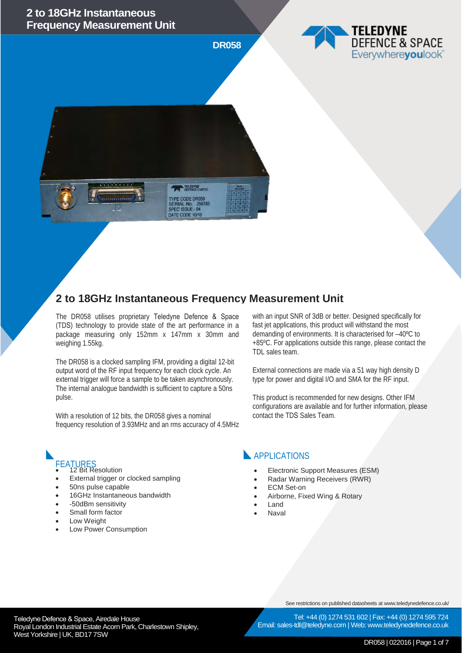





# **2 to 18GHz Instantaneous Frequency Measurement Unit**

The DR058 utilises proprietary Teledyne Defence & Space (TDS) technology to provide state of the art performance in a package measuring only 152mm x 147mm x 30mm and weighing 1.55kg.

The DR058 is a clocked sampling IFM, providing a digital 12-bit output word of the RF input frequency for each clock cycle. An external trigger will force a sample to be taken asynchronously. The internal analogue bandwidth is sufficient to capture a 50ns pulse.

With a resolution of 12 bits, the DR058 gives a nominal frequency resolution of 3.93MHz and an rms accuracy of 4.5MHz

- FEATURES<br>• 12 Bit Resolution
- External trigger or clocked sampling
- 50ns pulse capable
- 16GHz Instantaneous bandwidth
- -50dBm sensitivity
- Small form factor
- Low Weight
- Low Power Consumption

with an input SNR of 3dB or better. Designed specifically for fast jet applications, this product will withstand the most demanding of environments. It is characterised for –40ºC to +85ºC. For applications outside this range, please contact the TDL sales team.

External connections are made via a 51 way high density D type for power and digital I/O and SMA for the RF input.

This product is recommended for new designs. Other IFM configurations are available and for further information, please contact the TDS Sales Team.

#### **APPLICATIONS**

- Electronic Support Measures (ESM)
- Radar Warning Receivers (RWR)
- **ECM** Set-on
- Airborne, Fixed Wing & Rotary
- Land
- Naval

See restrictions on published datasheets at www.teledynedefence.co.uk/

Tel: +44 (0) 1274 531 602 | Fax: +44 (0) 1274 595 724

Teledyne Defence & Space, Airedale House and the state of the telectricity of the Tel: +44 (0) 1274 531 Royal London Industrial Estate Acorn Park, Charlestown Shipley, West Yorkshire | UK, BD17 7SW

Email: sales-tdl@teledyne.com | Web: www.teledynedefence.co.uk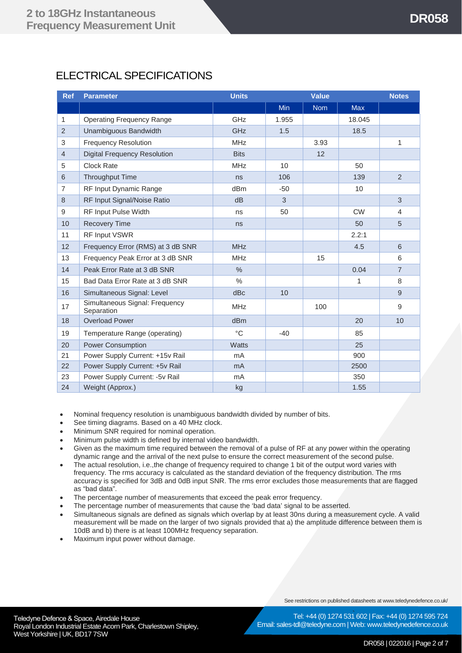## ELECTRICAL SPECIFICATIONS

| <b>Ref</b>     | <b>Parameter</b>                             | <b>Units</b>  |            | <b>Value</b> |            | <b>Notes</b>   |
|----------------|----------------------------------------------|---------------|------------|--------------|------------|----------------|
|                |                                              |               | <b>Min</b> | <b>Nom</b>   | <b>Max</b> |                |
| $\mathbf{1}$   | <b>Operating Frequency Range</b>             | GHz           | 1.955      |              | 18.045     |                |
| $\overline{2}$ | Unambiguous Bandwidth                        | GHz           | 1.5        |              | 18.5       |                |
| $\,$ 3 $\,$    | <b>Frequency Resolution</b>                  | <b>MHz</b>    |            | 3.93         |            | 1              |
| $\overline{4}$ | <b>Digital Frequency Resolution</b>          | <b>Bits</b>   |            | 12           |            |                |
| 5              | <b>Clock Rate</b>                            | <b>MHz</b>    | 10         |              | 50         |                |
| $6\phantom{1}$ | <b>Throughput Time</b>                       | ns            | 106        |              | 139        | 2              |
| $\overline{7}$ | RF Input Dynamic Range                       | dBm           | $-50$      |              | 10         |                |
| 8              | RF Input Signal/Noise Ratio                  | dB            | 3          |              |            | 3              |
| 9              | <b>RF Input Pulse Width</b>                  | ns            | 50         |              | <b>CW</b>  | 4              |
| 10             | <b>Recovery Time</b>                         | ns            |            |              | 50         | 5              |
| 11             | RF Input VSWR                                |               |            |              | 2.2:1      |                |
| 12             | Frequency Error (RMS) at 3 dB SNR            | <b>MHz</b>    |            |              | 4.5        | 6              |
| 13             | Frequency Peak Error at 3 dB SNR             | <b>MHz</b>    |            | 15           |            | 6              |
| 14             | Peak Error Rate at 3 dB SNR                  | $\%$          |            |              | 0.04       | $\overline{7}$ |
| 15             | Bad Data Error Rate at 3 dB SNR              | $\frac{0}{0}$ |            |              | 1          | 8              |
| 16             | Simultaneous Signal: Level                   | dBc           | 10         |              |            | 9              |
| 17             | Simultaneous Signal: Frequency<br>Separation | <b>MHz</b>    |            | 100          |            | 9              |
| 18             | <b>Overload Power</b>                        | dBm           |            |              | 20         | 10             |
| 19             | Temperature Range (operating)                | $^{\circ}$ C  | $-40$      |              | 85         |                |
| 20             | <b>Power Consumption</b>                     | <b>Watts</b>  |            |              | 25         |                |
| 21             | Power Supply Current: +15v Rail              | mA            |            |              | 900        |                |
| 22             | Power Supply Current: +5v Rail               | mA            |            |              | 2500       |                |
| 23             | Power Supply Current: -5v Rail               | mA            |            |              | 350        |                |
| 24             | Weight (Approx.)                             | kg            |            |              | 1.55       |                |

- Nominal frequency resolution is unambiguous bandwidth divided by number of bits.
- See timing diagrams. Based on a 40 MHz clock.
- Minimum SNR required for nominal operation.
- Minimum pulse width is defined by internal video bandwidth.
- Given as the maximum time required between the removal of a pulse of RF at any power within the operating dynamic range and the arrival of the next pulse to ensure the correct measurement of the second pulse.
- The actual resolution, i.e.,the change of frequency required to change 1 bit of the output word varies with frequency. The rms accuracy is calculated as the standard deviation of the frequency distribution. The rms accuracy is specified for 3dB and 0dB input SNR. The rms error excludes those measurements that are flagged as "bad data".
- The percentage number of measurements that exceed the peak error frequency.
- The percentage number of measurements that cause the 'bad data' signal to be asserted.
- Simultaneous signals are defined as signals which overlap by at least 30ns during a measurement cycle. A valid measurement will be made on the larger of two signals provided that a) the amplitude difference between them is 10dB and b) there is at least 100MHz frequency separation.
- Maximum input power without damage.

See restrictions on published datasheets at www.teledynedefence.co.uk/

Teledyne Defence & Space, Airedale House and the contract of the telectricity of the Tel: +44 (0) 1274 531 Royal London Industrial Estate Acorn Park, Charlestown Shipley, West Yorkshire | UK, BD17 7SW

Tel: +44 (0) 1274 531 602 | Fax: +44 (0) 1274 595 724 Email: sales-tdl@teledyne.com | Web: www.teledynedefence.co.uk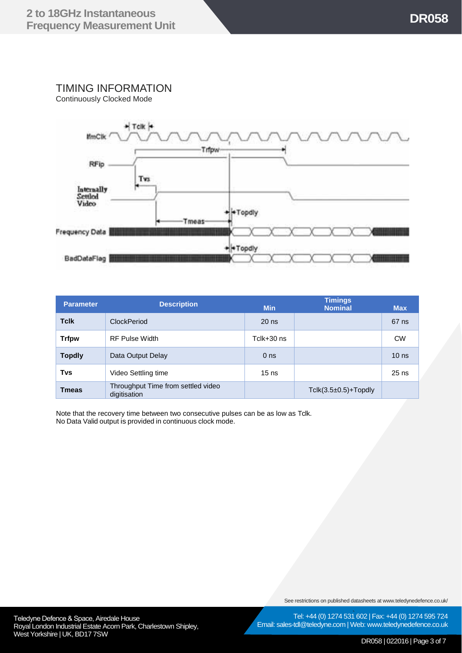## TIMING INFORMATION

Continuously Clocked Mode



| <b>Parameter</b> | <b>Description</b>                                 | <b>Min</b>      | <b>Timings</b><br><b>Nominal</b> | <b>Max</b>       |
|------------------|----------------------------------------------------|-----------------|----------------------------------|------------------|
| <b>Tclk</b>      | <b>ClockPeriod</b>                                 | $20$ ns         |                                  | 67 ns            |
| <b>Trfpw</b>     | <b>RF Pulse Width</b>                              | Tclk+30 ns      |                                  | <b>CW</b>        |
| <b>Topdly</b>    | Data Output Delay                                  | 0 <sub>ns</sub> |                                  | 10 <sub>ns</sub> |
| Tvs              | Video Settling time                                | $15$ ns         |                                  | $25$ ns          |
| <b>Tmeas</b>     | Throughput Time from settled video<br>digitisation |                 | $T$ clk $(3.5\pm0.5)$ +Topdly    |                  |

Note that the recovery time between two consecutive pulses can be as low as Tclk. No Data Valid output is provided in continuous clock mode.

See restrictions on published datasheets at www.teledynedefence.co.uk/

Tel: +44 (0) 1274 531 602 | Fax: +44 (0) 1274 595 724 Email: sales-tdl@teledyne.com | Web: www.teledynedefence.co.uk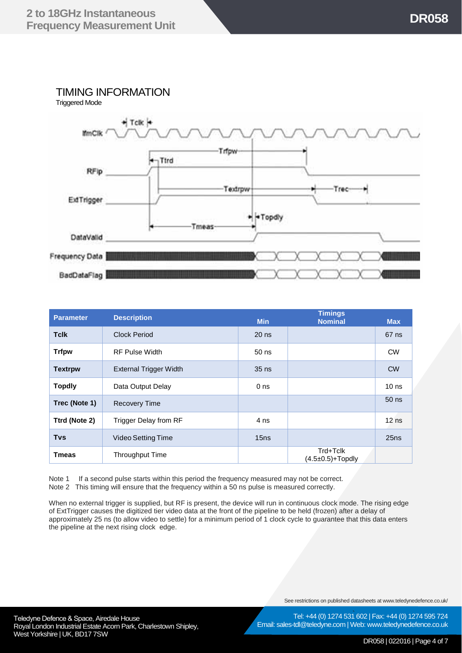## TIMING INFORMATION





| <b>Parameter</b> | <b>Description</b>           | <b>Min</b>      | <b>Timings</b><br><b>Nominal</b> | <b>Max</b>       |
|------------------|------------------------------|-----------------|----------------------------------|------------------|
| <b>Tclk</b>      | Clock Period                 | $20$ ns         |                                  | 67 ns            |
| <b>Trfpw</b>     | <b>RF Pulse Width</b>        | $50$ ns         |                                  | <b>CW</b>        |
| <b>Textrpw</b>   | External Trigger Width       | $35$ ns         |                                  | <b>CW</b>        |
| <b>Topdly</b>    | Data Output Delay            | 0 <sub>ns</sub> |                                  | 10 <sub>ns</sub> |
| Trec (Note 1)    | <b>Recovery Time</b>         |                 |                                  | $50$ ns          |
| Ttrd (Note 2)    | <b>Trigger Delay from RF</b> | 4 ns            |                                  | $12$ ns          |
| <b>Tvs</b>       | Video Setting Time           | 15ns            |                                  | 25ns             |
| <b>Tmeas</b>     | <b>Throughput Time</b>       |                 | Trd+Tclk<br>$(4.5\pm0.5)+Topdly$ |                  |

Note 1 If a second pulse starts within this period the frequency measured may not be correct. Note 2 This timing will ensure that the frequency within a 50 ns pulse is measured correctly.

When no external trigger is supplied, but RF is present, the device will run in continuous clock mode. The rising edge of ExtTrigger causes the digitized tier video data at the front of the pipeline to be held (frozen) after a delay of approximately 25 ns (to allow video to settle) for a minimum period of 1 clock cycle to guarantee that this data enters the pipeline at the next rising clock edge.

See restrictions on published datasheets at www.teledynedefence.co.uk/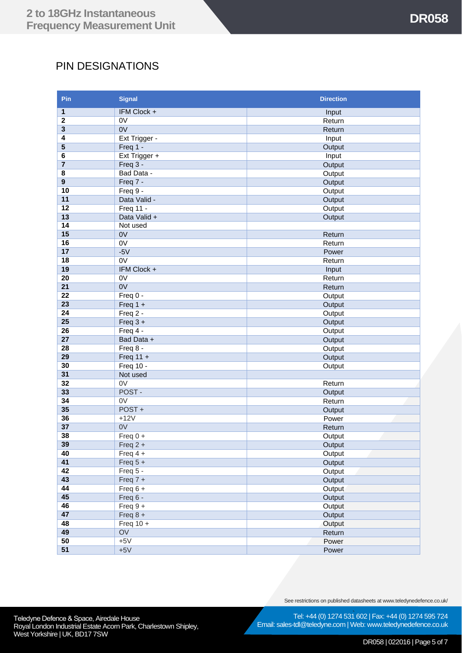## PIN DESIGNATIONS

| Pin                     | <b>Signal</b>          | <b>Direction</b> |  |  |
|-------------------------|------------------------|------------------|--|--|
| 1                       | IFM Clock +            | Input            |  |  |
| $\boldsymbol{2}$        | 0V                     | Return           |  |  |
| 3                       | 0V                     | Return           |  |  |
| 4                       | Ext Trigger -          | Input            |  |  |
| 5                       | Freq 1 -               | Output           |  |  |
| 6                       | Ext Trigger +          | Input            |  |  |
| $\overline{7}$          | Freq 3 -               | Output           |  |  |
| 8                       | Bad Data -             | Output           |  |  |
| $\overline{\mathbf{9}}$ | Freq 7 -               | Output           |  |  |
| 10                      | Freq 9 -               | Output           |  |  |
| 11                      | Data Valid -           | Output           |  |  |
| 12                      | Freq 11 -              | Output           |  |  |
| 13                      | Data Valid +           | Output           |  |  |
| 14                      | Not used               |                  |  |  |
| 15                      | 0V                     | Return           |  |  |
| 16                      | 0V                     | Return           |  |  |
| 17                      | $-5V$                  | Power            |  |  |
| 18                      | 0V                     | Return           |  |  |
| 19                      | IFM Clock +            | Input            |  |  |
| $\overline{20}$         | 0V                     | Return           |  |  |
| 21                      | 0V                     | Return           |  |  |
| 22                      | Freq $0 -$             | Output           |  |  |
| 23                      | Freq $1 +$             | Output           |  |  |
| 24                      | Freq 2 -               | Output           |  |  |
| 25                      | Freq $3 +$             | Output           |  |  |
| 26                      | Freq 4 -               | Output           |  |  |
| 27                      | Bad Data +             | Output           |  |  |
| 28                      | Freq 8 -               | Output           |  |  |
| 29                      | Freq $11 +$            | Output           |  |  |
| 30                      | <b>Freq 10 -</b>       | Output           |  |  |
| 31                      | Not used               |                  |  |  |
| 32                      | 0V                     | Return           |  |  |
| 33                      | POST-                  | Output           |  |  |
| 34                      | $\overline{ov}$        | Return           |  |  |
| 35                      | POST+                  | Output           |  |  |
| 36                      | $+12V$                 | Power            |  |  |
| 37                      | 0V                     | Return           |  |  |
| 38                      | Freq $0 +$             | Output           |  |  |
| 39                      | $Freq 2 +$             | Output           |  |  |
| 40                      | Freq $4 +$             | Output           |  |  |
| 41                      | Freq $5 +$             | Output           |  |  |
| 42                      | Freq 5 -               | Output           |  |  |
| 43                      | Freq $7 +$             | Output           |  |  |
| 44                      | Freq $6 +$             | Output           |  |  |
| 45                      | Freq 6 -               | Output           |  |  |
| 46                      | Freq $9+$              | Output           |  |  |
| 47                      | Freq $8 +$             | Output           |  |  |
| 48                      | $\overline{Freq}$ 10 + | Output           |  |  |
| 49                      | $\overline{O}V$        | Return           |  |  |
| 50                      | $+5V$                  | Power            |  |  |
| 51                      | $+5V$                  | Power            |  |  |

See restrictions on published datasheets at www.teledynedefence.co.uk/

Email: sales-tdl@teledyne.com | Web: www.teledynedefence.co.uk

Tel: +44 (0) 1274 531 602 | Fax: +44 (0) 1274 595 724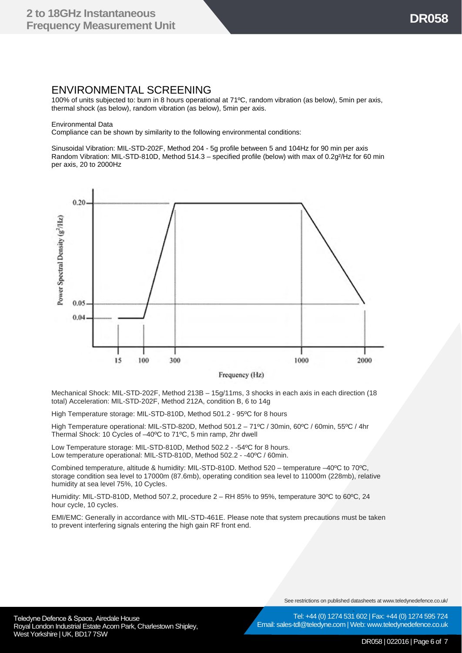#### ENVIRONMENTAL SCREENING

100% of units subjected to: burn in 8 hours operational at 71ºC, random vibration (as below), 5min per axis, thermal shock (as below), random vibration (as below), 5min per axis.

Environmental Data

Compliance can be shown by similarity to the following environmental conditions:

Sinusoidal Vibration: MIL-STD-202F, Method 204 - 5g profile between 5 and 104Hz for 90 min per axis Random Vibration: MIL-STD-810D, Method 514.3 – specified profile (below) with max of 0.2g<sup>2</sup>/Hz for 60 min per axis, 20 to 2000Hz



Frequency (Hz)

Mechanical Shock: MIL-STD-202F, Method 213B – 15g/11ms, 3 shocks in each axis in each direction (18 total) Acceleration: MIL-STD-202F, Method 212A, condition B, 6 to 14g

High Temperature storage: MIL-STD-810D, Method 501.2 - 95ºC for 8 hours

High Temperature operational: MIL-STD-820D, Method 501.2 – 71ºC / 30min, 60ºC / 60min, 55ºC / 4hr Thermal Shock: 10 Cycles of –40ºC to 71ºC, 5 min ramp, 2hr dwell

Low Temperature storage: MIL-STD-810D, Method 502.2 - -54ºC for 8 hours. Low temperature operational: MIL-STD-810D, Method 502.2 - -40ºC / 60min.

Combined temperature, altitude & humidity: MIL-STD-810D. Method 520 – temperature –40ºC to 70ºC, storage condition sea level to 17000m (87.6mb), operating condition sea level to 11000m (228mb), relative humidity at sea level 75%, 10 Cycles.

Humidity: MIL-STD-810D, Method 507.2, procedure 2 – RH 85% to 95%, temperature 30ºC to 60ºC, 24 hour cycle, 10 cycles.

EMI/EMC: Generally in accordance with MIL-STD-461E. Please note that system precautions must be taken to prevent interfering signals entering the high gain RF front end.

See restrictions on published datasheets at www.teledynedefence.co.uk/